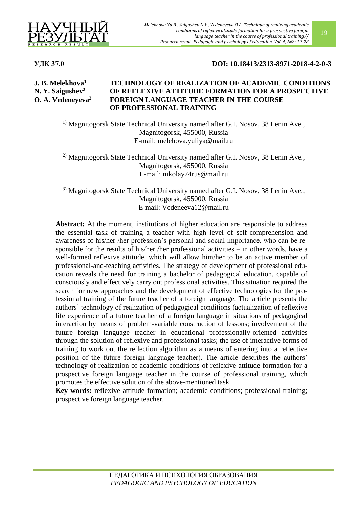

**УДК 37.0 DOI: 10.18413/2313-8971-2018-4-2-0-3**

**J. B. Melekhova<sup>1</sup> N. Y. Saigushev<sup>2</sup> O. A. Vedeneyeva<sup>3</sup> TECHNOLOGY OF REALIZATION OF ACADEMIC CONDITIONS OF REFLEXIVE ATTITUDE FORMATION FOR A PROSPECTIVE FOREIGN LANGUAGE TEACHER IN THE COURSE OF PROFESSIONAL TRAINING**

<sup>1)</sup> Magnitogorsk State Technical University named after G.I. Nosov, 38 Lenin Ave., Magnitogorsk, 455000, Russia E-mail: [melehova.yuliya@mail.ru](mailto:melehova.yuliya@mail.ru)

<sup>2)</sup> Magnitogorsk State Technical University named after G.I. Nosov, 38 Lenin Ave., Magnitogorsk, 455000, Russia E-mail: [nikolay74rus@mail.ru](mailto:nikolay74rus@mail.ru)

3) Magnitogorsk State Technical University named after G.I. Nosov, 38 Lenin Ave., Magnitogorsk, 455000, Russia E-mail: [Vedeneeva12@mail.ru](mailto:Vedeneeva12@mail.ru)

**Abstract:** At the moment, institutions of higher education are responsible to address the essential task of training a teacher with high level of self-comprehension and awareness of his/her /her profession's personal and social importance, who can be responsible for the results of his/her /her professional activities – in other words, have a well-formed reflexive attitude, which will allow him/her to be an active member of professional-and-teaching activities. The strategy of development of professional education reveals the need for training a bachelor of pedagogical education, capable of consciously and effectively carry out professional activities. This situation required the search for new approaches and the development of effective technologies for the professional training of the future teacher of a foreign language. The article presents the authors' technology of realization of pedagogical conditions (actualization of reflexive life experience of a future teacher of a foreign language in situations of pedagogical interaction by means of problem-variable construction of lessons; involvement of the future foreign language teacher in educational professionally-oriented activities through the solution of reflexive and professional tasks; the use of interactive forms of training to work out the reflection algorithm as a means of entering into a reflective position of the future foreign language teacher). The article describes the authors' technology of realization of academic conditions of reflexive attitude formation for a prospective foreign language teacher in the course of professional training, which promotes the effective solution of the above-mentioned task.

**Key words:** reflexive attitude formation; academic conditions; professional training; prospective foreign language teacher.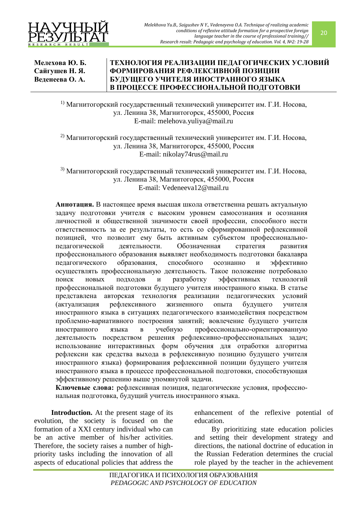

**Мелехова Ю. Б. Сайгушев Н. Я. Веденеева О. А.**

## **ТЕХНОЛОГИЯ РЕАЛИЗАЦИИ ПЕДАГОГИЧЕСКИХ УСЛОВИЙ ФОРМИРОВАНИЯ РЕФЛЕКСИВНОЙ ПОЗИЦИИ БУДУЩЕГО УЧИТЕЛЯ ИНОСТРАННОГО ЯЗЫКА В ПРОЦЕССЕ ПРОФЕССИОНАЛЬНОЙ ПОДГОТОВКИ**

<sup>1)</sup> Магнитогорский государственный технический университет им. Г.И. Носова, ул. Ленина 38, Магнитогорск, 455000, Россия E-mail: [melehova.yuliya@mail.ru](mailto:melehova.yuliya@mail.ru)

<sup>2)</sup> Магнитогорский государственный технический университет им. Г.И. Носова, ул. Ленина 38, Магнитогорск, 455000, Россия E-mail: [nikolay74rus@mail.ru](mailto:nikolay74rus@mail.ru)

3) Магнитогорский государственный технический университет им. Г.И. Носова, ул. Ленина 38, Магнитогорск, 455000, Россия E-mail: [Vedeneeva12@mail.ru](mailto:Vedeneeva12@mail.ru)

**Аннотация.** B настоящее время высшая школа ответственна решать актуальную задачу подготовки учителя с высоким уровнем самосознания и осознания личностной и общественной значимости своей профессии, способного нести ответственность за ее результаты, то есть со сформированной рефлексивной позицией, что позволит ему быть активным субъектом профессиональнопедагогической деятельности. Обозначенная стратегия развития профессионального образования выявляет необходимость подготовки бакалавра педагогического образования, способного осознанно и эффективно осуществлять профессиональную деятельность. Такое положение потребовало поиск новых подходов и разработку эффективных технологий профессиональной подготовки будущего учителя иностранного языка. В статье представлена авторская технология реализации педагогических условий (актуализация рефлексивного жизненного опыта будущего учителя иностранного языка в ситуациях педагогического взаимодействия посредством проблемно-вариативного построения занятий; вовлечение будущего учителя иностранного языка в учебную профессионально-ориентированную деятельность посредством решения рефлексивно-профессиональных задач; использование интерактивных форм обучения для отработки алгоритма рефлексии как средства выхода в рефлексивную позицию будущего учителя иностранного языка) формирования рефлексивной позиции будущего учителя иностранного языка в процессе профессиональной подготовки, способствующая эффективному решению выше упомянутой задачи.

**Ключевые слова:** рефлексивная позиция, педагогические условия, профессиональная подготовка, будущий учитель иностранного языка.

**Introduction.** At the present stage of its evolution, the society is focused on the formation of a XXI century individual who can be an active member of his/her activities. Therefore, the society raises a number of highpriority tasks including the innovation of all aspects of educational policies that address the

enhancement of the reflexive potential of education.

By prioritizing state education policies and setting their development strategy and directions, the national doctrine of education in the Russian Federation determines the crucial role played by the teacher in the achievement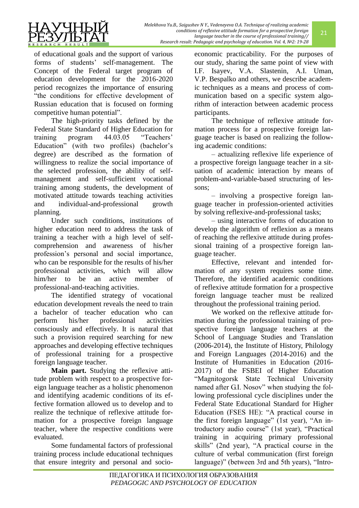

of educational goals and the support of various forms of students' self-management. The Concept of the Federal target program of education development for the 2016-2020 period recognizes the importance of ensuring "the conditions for effective development of Russian education that is focused on forming competitive human potential".

The high-priority tasks defined by the Federal State Standard of Higher Education for training program 44.03.05 "Teachers' Education" (with two profiles) (bachelor's degree) are described as the formation of willingness to realize the social importance of the selected profession, the ability of selfmanagement and self-sufficient vocational training among students, the development of motivated attitude towards teaching activities and individual-and-professional growth planning.

Under such conditions, institutions of higher education need to address the task of training a teacher with a high level of selfcomprehension and awareness of his/her profession's personal and social importance, who can be responsible for the results of his/her professional activities, which will allow him/her to be an active member of professional-and-teaching activities.

The identified strategy of vocational education development reveals the need to train a bachelor of teacher education who can perform his/her professional activities consciously and effectively. It is natural that such a provision required searching for new approaches and developing effective techniques of professional training for a prospective foreign language teacher.

**Main part.** Studying the reflexive attitude problem with respect to a prospective foreign language teacher as a holistic phenomenon and identifying academic conditions of its effective formation allowed us to develop and to realize the technique of reflexive attitude formation for a prospective foreign language teacher, where the respective conditions were evaluated.

Some fundamental factors of professional training process include educational techniques that ensure integrity and personal and socioeconomic practicability. For the purposes of our study, sharing the same point of view with I.F. Isayev, V.А. Slastenin, А.I. Uman, V.P. Bespalko and others, we describe academic techniques as a means and process of communication based on a specific system algorithm of interaction between academic process participants.

The technique of reflexive attitude formation process for a prospective foreign language teacher is based on realizing the following academic conditions:

– actualizing reflexive life experience of a prospective foreign language teacher in a situation of academic interaction by means of problem-and-variable-based structuring of lessons;

– involving a prospective foreign language teacher in profession-oriented activities by solving reflexive-and-professional tasks;

– using interactive forms of education to develop the algorithm of reflexion as a means of reaching the reflexive attitude during professional training of a prospective foreign language teacher.

Effective, relevant and intended formation of any system requires some time. Therefore, the identified academic conditions of reflexive attitude formation for a prospective foreign language teacher must be realized throughout the professional training period.

We worked on the reflexive attitude formation during the professional training of prospective foreign language teachers at the School of Language Studies and Translation (2006-2014), the Institute of History, Philology and Foreign Languages (2014-2016) and the Institute of Humanities in Education (2016- 2017) of the FSBEI of Higher Education "Magnitogorsk State Technical University named after G.I. Nosov" when studying the following professional cycle disciplines under the Federal State Educational Standard for Higher Education (FSES HE): "A practical course in the first foreign language" (1st year), "An introductory audio course" (1st year), "Practical training in acquiring primary professional skills" (2nd year), "A practical course in the culture of verbal communication (first foreign language)" (between 3rd and 5th years), "Intro-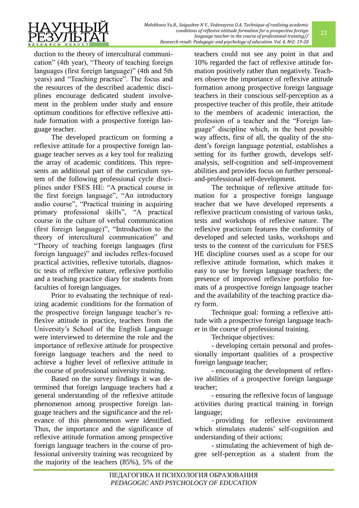

duction to the theory of intercultural communication" (4th year), "Theory of teaching foreign languages (first foreign language)" (4th and 5th years) and "Teaching practice". The focus and the resources of the described academic disciplines encourage dedicated student involvement in the problem under study and ensure optimum conditions for effective reflexive attitude formation with a prospective foreign language teacher.

The developed practicum on forming a reflexive attitude for a prospective foreign language teacher serves as a key tool for realizing the array of academic conditions. This represents an additional part of the curriculum system of the following professional cycle disciplines under FSES HE: "A practical course in the first foreign language", "An introductory audio course", "Practical training in acquiring primary professional skills", "A practical course in the culture of verbal communication (first foreign language)", "Introduction to the theory of intercultural communication" and "Theory of teaching foreign languages (first foreign language)" and includes reflex-focused practical activities, reflexive tutorials, diagnostic tests of reflexive nature, reflexive portfolio and a teaching practice diary for students from faculties of foreign languages.

Prior to evaluating the technique of realizing academic conditions for the formation of the prospective foreign language teacher's reflexive attitude in practice, teachers from the University's School of the English Language were interviewed to determine the role and the importance of reflexive attitude for prospective foreign language teachers and the need to achieve a higher level of reflexive attitude in the course of professional university training.

Based on the survey findings it was determined that foreign language teachers had a general understanding of the reflexive attitude phenomenon among prospective foreign language teachers and the significance and the relevance of this phenomenon were identified. Thus, the importance and the significance of reflexive attitude formation among prospective foreign language teachers in the course of professional university training was recognized by the majority of the teachers (85%), 5% of the teachers could not see any point in that and 10% regarded the fact of reflexive attitude formation positively rather than negatively. Teachers observe the importance of reflexive attitude formation among prospective foreign language teachers in their conscious self-perception as a prospective teacher of this profile, their attitude to the members of academic interaction, the profession of a teacher and the "Foreign language" discipline which, in the best possible way affects, first of all, the quality of the student's foreign language potential, establishes a setting for its further growth, develops selfanalysis, self-cognition and self-improvement abilities and provides focus on further personaland-professional self-development.

The technique of reflexive attitude formation for a prospective foreign language teacher that we have developed represents a reflexive practicum consisting of various tasks, tests and workshops of reflexive nature. The reflexive practicum features the conformity of developed and selected tasks, workshops and tests to the content of the curriculum for FSES HE discipline courses used as a scope for our reflexive attitude formation, which makes it easy to use by foreign language teachers; the presence of improved reflexive portfolio formats of a prospective foreign language teacher and the availability of the teaching practice diary form.

Technique goal: forming a reflexive attitude with a prospective foreign language teacher in the course of professional training.

Technique objectives:

- developing certain personal and professionally important qualities of a prospective foreign language teacher;

- encouraging the development of reflexive abilities of a prospective foreign language teacher;

- ensuring the reflexive focus of language activities during practical training in foreign language;

- providing for reflexive environment which stimulates students' self-cognition and understanding of their actions;

- stimulating the achievement of high degree self-perception as a student from the

22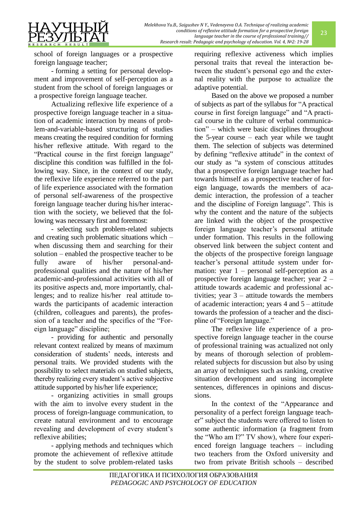

school of foreign languages or a prospective foreign language teacher;

- forming a setting for personal development and improvement of self-perception as a student from the school of foreign languages or a prospective foreign language teacher.

Actualizing reflexive life experience of a prospective foreign language teacher in a situation of academic interaction by means of problem-and-variable-based structuring of studies means creating the required condition for forming his/her reflexive attitude. With regard to the "Practical course in the first foreign language" discipline this condition was fulfilled in the following way. Since, in the context of our study, the reflexive life experience referred to the part of life experience associated with the formation of personal self-awareness of the prospective foreign language teacher during his/her interaction with the society, we believed that the following was necessary first and foremost:

- selecting such problem-related subjects and creating such problematic situations which – when discussing them and searching for their solution – enabled the prospective teacher to be fully aware of his/her personal-andprofessional qualities and the nature of his/her academic-and-professional activities with all of its positive aspects and, more importantly, challenges; and to realize his/her real attitude towards the participants of academic interaction (children, colleagues and parents), the profession of a teacher and the specifics of the "Foreign language" discipline;

- providing for authentic and personally relevant context realized by means of maximum consideration of students' needs, interests and personal traits. We provided students with the possibility to select materials on studied subjects, thereby realizing every student's active subjective attitude supported by his/her life experience;

- organizing activities in small groups with the aim to involve every student in the process of foreign-language communication, to create natural environment and to encourage revealing and development of every student's reflexive abilities;

- applying methods and techniques which promote the achievement of reflexive attitude by the student to solve problem-related tasks

requiring reflexive activeness which implies personal traits that reveal the interaction between the student's personal ego and the external reality with the purpose to actualize the adaptive potential.

Based on the above we proposed a number of subjects as part of the syllabus for "A practical course in first foreign language" and "A practical course in the culture of verbal communication" – which were basic disciplines throughout the 5-year course – each year while we taught them. The selection of subjects was determined by defining "reflexive attitude" in the context of our study as "a system of conscious attitudes that a prospective foreign language teacher had towards himself as a prospective teacher of foreign language, towards the members of academic interaction, the profession of a teacher and the discipline of Foreign language". This is why the content and the nature of the subjects are linked with the object of the prospective foreign language teacher's personal attitude under formation. This results in the following observed link between the subject content and the objects of the prospective foreign language teacher's personal attitude system under formation: year 1 – personal self-perception as a prospective foreign language teacher; year 2 – attitude towards academic and professional activities; year 3 – attitude towards the members of academic interaction; years 4 and 5 – attitude towards the profession of a teacher and the discipline of "Foreign language."

The reflexive life experience of a prospective foreign language teacher in the course of professional training was actualized not only by means of thorough selection of problemrelated subjects for discussion but also by using an array of techniques such as ranking, creative situation development and using incomplete sentences, differences in opinions and discussions.

In the context of the "Appearance and personality of a perfect foreign language teacher" subject the students were offered to listen to some authentic information (a fragment from the "Who am I?" TV show), where four experienced foreign language teachers – including two teachers from the Oxford university and two from private British schools – described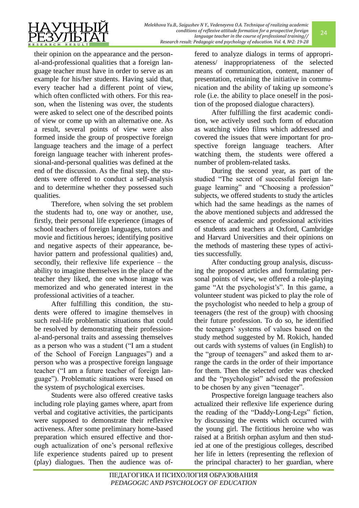their opinion on the appearance and the personal-and-professional qualities that a foreign language teacher must have in order to serve as an example for his/her students. Having said that, every teacher had a different point of view, which often conflicted with others. For this reason, when the listening was over, the students were asked to select one of the described points of view or come up with an alternative one. As a result, several points of view were also formed inside the group of prospective foreign language teachers and the image of a perfect foreign language teacher with inherent professional-and-personal qualities was defined at the end of the discussion. As the final step, the students were offered to conduct a self-analysis and to determine whether they possessed such qualities.

Therefore, when solving the set problem the students had to, one way or another, use, firstly, their personal life experience (images of school teachers of foreign languages, tutors and movie and fictitious heroes; identifying positive and negative aspects of their appearance, behavior pattern and professional qualities) and, secondly, their reflexive life experience – the ability to imagine themselves in the place of the teacher they liked, the one whose image was memorized and who generated interest in the professional activities of a teacher.

After fulfilling this condition, the students were offered to imagine themselves in such real-life problematic situations that could be resolved by demonstrating their professional-and-personal traits and assessing themselves as a person who was a student ("I am a student of the School of Foreign Languages") and a person who was a prospective foreign language teacher ("I am a future teacher of foreign language"). Problematic situations were based on the system of psychological exercises.

Students were also offered creative tasks including role playing games where, apart from verbal and cogitative activities, the participants were supposed to demonstrate their reflexive activeness. After some preliminary home-based preparation which ensured effective and thorough actualization of one's personal reflexive life experience students paired up to present (play) dialogues. Then the audience was offered to analyze dialogs in terms of appropriateness/ inappropriateness of the selected means of communication, content, manner of presentation, retaining the initiative in communication and the ability of taking up someone's role (i.e. the ability to place oneself in the position of the proposed dialogue characters).

After fulfilling the first academic condition, we actively used such form of education as watching video films which addressed and covered the issues that were important for prospective foreign language teachers. After watching them, the students were offered a number of problem-related tasks.

During the second year, as part of the studied "The secret of successful foreign language learning" and "Choosing a profession" subjects, we offered students to study the articles which had the same headings as the names of the above mentioned subjects and addressed the essence of academic and professional activities of students and teachers at Oxford, Cambridge and Harvard Universities and their opinions on the methods of mastering these types of activities successfully.

After conducting group analysis, discussing the proposed articles and formulating personal points of view, we offered a role-playing game "At the psychologist's". In this game, a volunteer student was picked to play the role of the psychologist who needed to help a group of teenagers (the rest of the group) with choosing their future profession. To do so, he identified the teenagers' systems of values based on the study method suggested by M. Rokich, handed out cards with systems of values (in English) to the "group of teenagers" and asked them to arrange the cards in the order of their importance for them. Then the selected order was checked and the "psychologist" advised the profession to be chosen by any given "teenager".

Prospective foreign language teachers also actualized their reflexive life experience during the reading of the "Daddy-Long-Legs" fiction, by discussing the events which occurred with the young girl. The fictitious heroine who was raised at a British orphan asylum and then studied at one of the prestigious colleges, described her life in letters (representing the reflexion of the principal character) to her guardian, where

24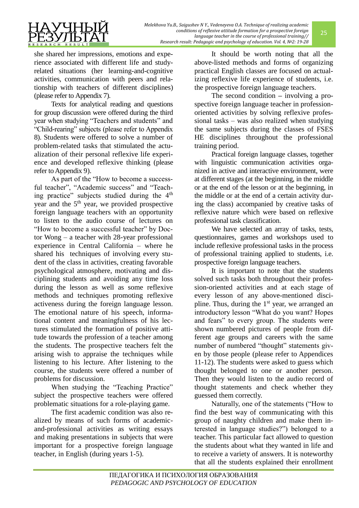

she shared her impressions, emotions and experience associated with different life and studyrelated situations (her learning-and-cognitive activities, communication with peers and relationship with teachers of different disciplines) (please refer to Appendix 7).

Texts for analytical reading and questions for group discussion were offered during the third year when studying "Teachers and students" and "Child-rearing" subjects (please refer to Appendix 8). Students were offered to solve a number of problem-related tasks that stimulated the actualization of their personal reflexive life experience and developed reflexive thinking (please refer to Appendix 9).

As part of the "How to become a successful teacher", "Academic success" and "Teaching practice" subjects studied during the 4<sup>th</sup> year and the  $5<sup>th</sup>$  year, we provided prospective foreign language teachers with an opportunity to listen to the audio course of lectures on "How to become a successful teacher" by Doctor Wong – a teacher with 28-year professional experience in Central California – where he shared his techniques of involving every student of the class in activities, creating favorable psychological atmosphere, motivating and disciplining students and avoiding any time loss during the lesson as well as some reflexive methods and techniques promoting reflexive activeness during the foreign language lesson. The emotional nature of his speech, informational content and meaningfulness of his lectures stimulated the formation of positive attitude towards the profession of a teacher among the students. The prospective teachers felt the arising wish to appraise the techniques while listening to his lecture. After listening to the course, the students were offered a number of problems for discussion.

When studying the "Teaching Practice" subject the prospective teachers were offered problematic situations for a role-playing game.

The first academic condition was also realized by means of such forms of academicand-professional activities as writing essays and making presentations in subjects that were important for a prospective foreign language teacher, in English (during years 1-5).

It should be worth noting that all the above-listed methods and forms of organizing practical English classes are focused on actualizing reflexive life experience of students, i.e. the prospective foreign language teachers.

The second condition **–** involving a prospective foreign language teacher in professionoriented activities by solving reflexive professional tasks – was also realized when studying the same subjects during the classes of FSES HE disciplines throughout the professional training period.

Practical foreign language classes, together with linguistic communication activities organized in active and interactive environment, were at different stages (at the beginning, in the middle or at the end of the lesson or at the beginning, in the middle or at the end of a certain activity during the class) accompanied by creative tasks of reflexive nature which were based on reflexive professional task classification.

We have selected an array of tasks, tests, questionnaires, games and workshops used to include reflexive professional tasks in the process of professional training applied to students, i.e. prospective foreign language teachers.

It is important to note that the students solved such tasks both throughout their profession-oriented activities and at each stage of every lesson of any above-mentioned discipline. Thus, during the  $1<sup>st</sup>$  year, we arranged an introductory lesson "What do you want? Hopes and fears" to every group. The students were shown numbered pictures of people from different age groups and careers with the same number of numbered "thought" statements given by those people (please refer to Appendices 11-12). The students were asked to guess which thought belonged to one or another person. Then they would listen to the audio record of thought statements and check whether they guessed them correctly.

Naturally, one of the statements ("How to find the best way of communicating with this group of naughty children and make them interested in language studies?") belonged to a teacher. This particular fact allowed to question the students about what they wanted in life and to receive a variety of answers. It is noteworthy that all the students explained their enrollment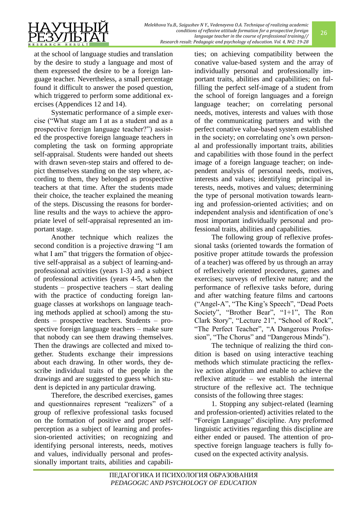

at the school of language studies and translation by the desire to study a language and most of them expressed the desire to be a foreign language teacher. Nevertheless, a small percentage found it difficult to answer the posed question, which triggered to perform some additional exercises (Appendices 12 and 14).

Systematic performance of a simple exercise ("What stage am I at as a student and as a prospective foreign language teacher?") assisted the prospective foreign language teachers in completing the task on forming appropriate self-appraisal. Students were handed out sheets with drawn seven-step stairs and offered to depict themselves standing on the step where, according to them, they belonged as prospective teachers at that time. After the students made their choice, the teacher explained the meaning of the steps. Discussing the reasons for borderline results and the ways to achieve the appropriate level of self-appraisal represented an important stage.

Another technique which realizes the second condition is a projective drawing "I am what I am" that triggers the formation of objective self-appraisal as a subject of learning-andprofessional activities (years 1-3) and a subject of professional activities (years 4-5, when the students – prospective teachers – start dealing with the practice of conducting foreign language classes at workshops on language teaching methods applied at school) among the students – prospective teachers. Students – prospective foreign language teachers – make sure that nobody can see them drawing themselves. Then the drawings are collected and mixed together. Students exchange their impressions about each drawing. In other words, they describe individual traits of the people in the drawings and are suggested to guess which student is depicted in any particular drawing.

Therefore, the described exercises, games and questionnaires represent "realizers" of a group of reflexive professional tasks focused on the formation of positive and proper selfperception as a subject of learning and profession-oriented activities; on recognizing and identifying personal interests, needs, motives and values, individually personal and professionally important traits, abilities and capabilities; on achieving compatibility between the conative value-based system and the array of individually personal and professionally important traits, abilities and capabilities; on fulfilling the perfect self-image of a student from the school of foreign languages and a foreign language teacher; on correlating personal needs, motives, interests and values with those of the communicating partners and with the perfect conative value-based system established in the society; on correlating one's own personal and professionally important traits, abilities and capabilities with those found in the perfect image of a foreign language teacher; on independent analysis of personal needs, motives, interests and values; identifying principal interests, needs, motives and values; determining the type of personal motivation towards learning and profession-oriented activities; and on independent analysis and identification of one's most important individually personal and professional traits, abilities and capabilities.

26

The following group of reflexive professional tasks (oriented towards the formation of positive proper attitude towards the profession of a teacher) was offered by us through an array of reflexively oriented procedures, games and exercises; surveys of reflexive nature; and the performance of reflexive tasks before, during and after watching feature films and cartoons ("Angel-А", "The King's Speech", "Dead Poets Society", "Brother Bear", "1+1", The Ron Clark Story", "Lecture 21", "School of Rock", "The Perfect Teacher", "A Dangerous Profession", "The Chorus" and "Dangerous Minds").

The technique of realizing the third condition is based on using interactive teaching methods which stimulate practicing the reflexive action algorithm and enable to achieve the reflexive attitude – we establish the internal structure of the reflexive act. The technique consists of the following three stages:

1. Stopping any subject-related (learning and profession-oriented) activities related to the "Foreign Language" discipline. Any preformed linguistic activities regarding this discipline are either ended or paused. The attention of prospective foreign language teachers is fully focused on the expected activity analysis.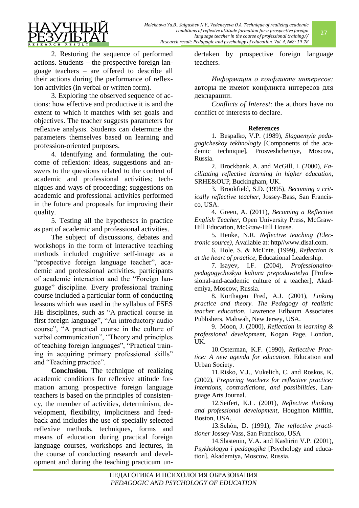

2. Restoring the sequence of performed actions. Students – the prospective foreign language teachers – are offered to describe all their actions during the performance of reflexion activities (in verbal or written form).

3. Exploring the observed sequence of actions: how effective and productive it is and the extent to which it matches with set goals and objectives. The teacher suggests parameters for reflexive analysis. Students can determine the parameters themselves based on learning and profession-oriented purposes.

4. Identifying and formulating the outcome of reflexion: ideas, suggestions and answers to the questions related to the content of academic and professional activities; techniques and ways of proceeding; suggestions on academic and professional activities performed in the future and proposals for improving their quality.

5. Testing all the hypotheses in practice as part of academic and professional activities.

The subject of discussions, debates and workshops in the form of interactive teaching methods included cognitive self-image as a "prospective foreign language teacher", academic and professional activities, participants of academic interaction and the "Foreign language" discipline. Every professional training course included a particular form of conducting lessons which was used in the syllabus of FSES HE disciplines, such as "A practical course in first foreign language", "An introductory audio course", "A practical course in the culture of verbal communication", "Theory and principles of teaching foreign languages", "Practical training in acquiring primary professional skills" and "Teaching practice".

**Conclusion.** The technique of realizing academic conditions for reflexive attitude formation among prospective foreign language teachers is based on the principles of consistency, the member of activities, determinism, development, flexibility, implicitness and feedback and includes the use of specially selected reflexive methods, techniques, forms and means of education during practical foreign language courses, workshops and lectures, in the course of conducting research and development and during the teaching practicum undertaken by prospective foreign language teachers.

*Информация о конфликте интересов:* авторы не имеют конфликта интересов для декларации.

*Conflicts of Interest*: the authors have no conflict of interests to declare.

## **References**

1. Bespalko, V.P. (1989), *Slagaemyie pedagogicheskoy tekhnologiy* [Components of the academic technique], Prosveshcheniye, Moscow, Russia.

2. Brockbank, A. and McGill, I. (2000), *Facilitating reflective learning in higher education*, SRHE&OUP, Buckingham, UK.

3. Brookfield, S.D. (1995), *Becoming a critically reflective teacher*, Jossey-Bass, San Francisco, USA.

4. Green, A. (2011), *Becoming a Reflective English Teacher*, Open University Press, McGraw-Hill Education, McGraw-Hill House.

5. Henke, N.R. *Reflective teaching (Electronic source)*, Available at: http//www.disal.com.

6. Hole, S. & McEnte. (1999), *Reflection is at the heart of practice,* Educational Leadership.

7. Isayev, I.F. (2004), *Professionalnopedagogycheskya kultura prepodavatelya* [Professional-and-academic culture of a teacher], Akademiya, Moscow, Russia.

8. Korthagen Fred, A.J. (2001), *Linking practice and theory. The Pedagogy of realistic teacher education*, Lawrence Erlbaum Associates Publishers, Mahwah, New Jersey, USA.

9. Moon, J. (2000), *Reflection in learning & professional development*, Kogan Page, London, UK.

10.Osterman, K.F. (1990), *Reflective Practice: A new agenda for education*, Education and Urban Society.

11.Risko, V.J., Vukelich, C. and Roskos, K. (2002), *Preparing teachers for reflective practice: Intentions, contradictions, and possibilities*, Language Arts Journal.

12.Seifert, K.L. (2001), *Reflective thinking and professional development*, Houghton Mifflin, Boston, USA.

13.Schón, D. (1991), *The reflective practitioner* Jossey-Vass, San Francisco, USA

14.Slastenin, V.А. and Kashirin V.P. (2001), *Psykhologya i pedagogika* [Psychology and education], Akademiya, Moscow, Russia.